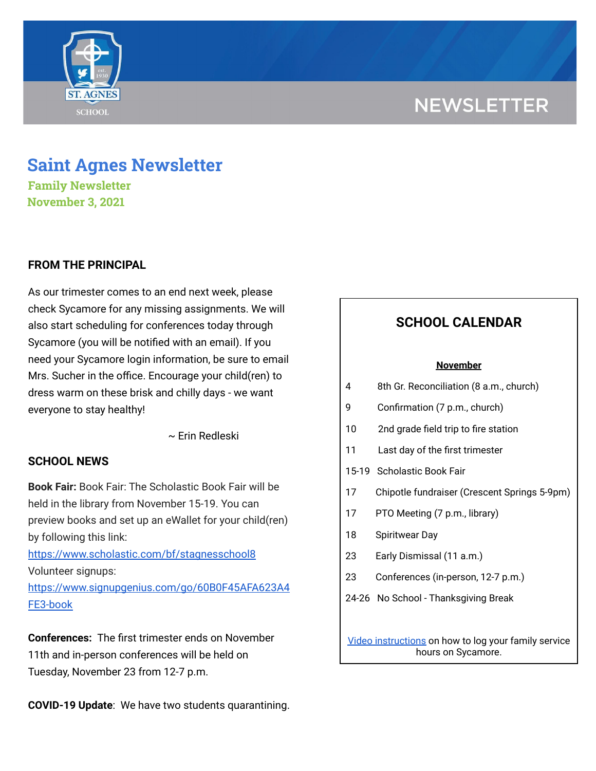# **NEWSLETTER**



# **Saint Agnes Newsletter**

**Family Newsletter November 3, 2021**

## **FROM THE PRINCIPAL**

As our trimester comes to an end next week, please check Sycamore for any missing assignments. We will also start scheduling for conferences today through Sycamore (you will be notified with an email). If you need your Sycamore login information, be sure to email Mrs. Sucher in the office. Encourage your child(ren) to dress warm on these brisk and chilly days - we want everyone to stay healthy!

~ Erin Redleski

## **SCHOOL NEWS**

**Book Fair:** Book Fair: The Scholastic Book Fair will be held in the library from November 15-19. You can preview books and set up an eWallet for your child(ren) by following this link:

<https://www.scholastic.com/bf/stagnesschool8> Volunteer signups:

[https://www.signupgenius.com/go/60B0F45AFA623A4](https://www.signupgenius.com/go/60B0F45AFA623A4FE3-book) [FE3-book](https://www.signupgenius.com/go/60B0F45AFA623A4FE3-book)

**Conferences:** The first trimester ends on November 11th and in-person conferences will be held on Tuesday, November 23 from 12-7 p.m.

**COVID-19 Update**: We have two students quarantining.

# **SCHOOL CALENDAR**

### **November**

- 4 8th Gr. Reconciliation (8 a.m., church)
- 9 Confirmation (7 p.m., church)
- 10 2nd grade field trip to fire station
- 11 Last day of the first trimester
- 15-19 Scholastic Book Fair
- 17 Chipotle fundraiser (Crescent Springs 5-9pm)
- 17 PTO Meeting (7 p.m., library)
- 18 Spiritwear Day
- 23 Early Dismissal (11 a.m.)
- 23 Conferences (in-person, 12-7 p.m.)
- 24-26 No School Thanksgiving Break

Video [instructions](https://drive.google.com/file/d/1cmYj9N-NF2btSiiG8QdTD20q2RJRpwk7/view?usp=sharing) on how to log your family service hours on Sycamore.